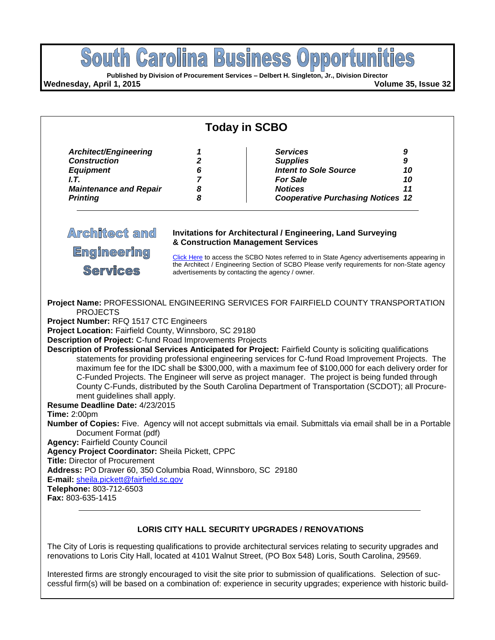

**Agency:** Fairfield County Council **Agency Project Coordinator:** Sheila Pickett, CPPC **Title:** Director of Procurement **Address:** PO Drawer 60, 350 Columbia Road, Winnsboro, SC 29180 **E-mail:** [sheila.pickett@fairfield.sc.gov](mailto:sheila.pickett@fairfield.sc.gov) **Telephone:** 803-712-6503 **Fax:** 803-635-1415

### **LORIS CITY HALL SECURITY UPGRADES / RENOVATIONS**

The City of Loris is requesting qualifications to provide architectural services relating to security upgrades and renovations to Loris City Hall, located at 4101 Walnut Street, (PO Box 548) Loris, South Carolina, 29569.

Interested firms are strongly encouraged to visit the site prior to submission of qualifications. Selection of successful firm(s) will be based on a combination of: experience in security upgrades; experience with historic build-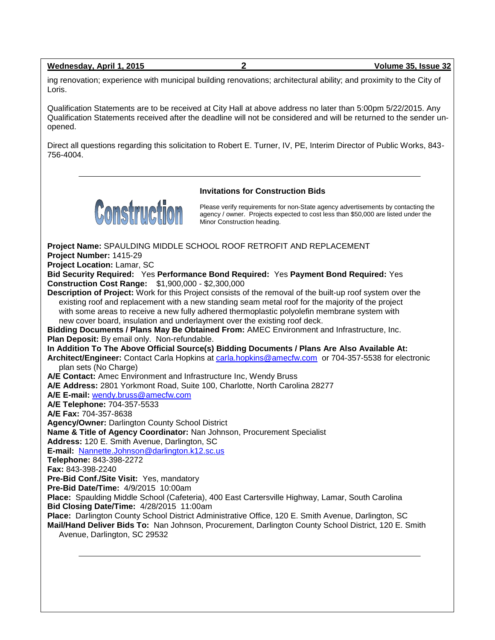|  | Wednesday, April 1, 2015 |  | Volume 35, Issue 32 |
|--|--------------------------|--|---------------------|
|--|--------------------------|--|---------------------|

ing renovation; experience with municipal building renovations; architectural ability; and proximity to the City of Loris.

Qualification Statements are to be received at City Hall at above address no later than 5:00pm 5/22/2015. Any Qualification Statements received after the deadline will not be considered and will be returned to the sender unopened.

Direct all questions regarding this solicitation to Robert E. Turner, IV, PE, Interim Director of Public Works, 843- 756-4004.

**Invitations for Construction Bids**



Please verify requirements for non-State agency advertisements by contacting the agency / owner. Projects expected to cost less than \$50,000 are listed under the Minor Construction heading.

**Project Name:** SPAULDING MIDDLE SCHOOL ROOF RETROFIT AND REPLACEMENT **Project Number:** 1415-29 **Project Location:** Lamar, SC **Bid Security Required:** Yes **Performance Bond Required:** Yes **Payment Bond Required:** Yes **Construction Cost Range:** \$1,900,000 - \$2,300,000 **Description of Project:** Work for this Project consists of the removal of the built-up roof system over the existing roof and replacement with a new standing seam metal roof for the majority of the project with some areas to receive a new fully adhered thermoplastic polyolefin membrane system with new cover board, insulation and underlayment over the existing roof deck. **Bidding Documents / Plans May Be Obtained From:** AMEC Environment and Infrastructure, Inc. **Plan Deposit:** By email only. Non-refundable. **In Addition To The Above Official Source(s) Bidding Documents / Plans Are Also Available At: Architect/Engineer:** Contact Carla Hopkins at [carla.hopkins@amecfw.com](mailto:carla.hopkins@amecfw.com) or 704-357-5538 for electronic plan sets (No Charge) **A/E Contact:** Amec Environment and Infrastructure Inc, Wendy Bruss **A/E Address:** 2801 Yorkmont Road, Suite 100, Charlotte, North Carolina 28277 **A/E E-mail:** [wendy.bruss@amecfw.com](mailto:wendy.bruss@amecfw.com) **A/E Telephone:** 704-357-5533 **A/E Fax:** 704-357-8638 **Agency/Owner:** Darlington County School District **Name & Title of Agency Coordinator:** Nan Johnson, Procurement Specialist **Address:** 120 E. Smith Avenue, Darlington, SC **E-mail:** [Nannette.Johnson@darlington.k12.sc.us](mailto:Nannette.Johnson@darlington.k12.sc.us) **Telephone:** 843-398-2272 **Fax:** 843-398-2240 **Pre-Bid Conf./Site Visit:** Yes, mandatory **Pre-Bid Date/Time:** 4/9/2015 10:00am **Place:** Spaulding Middle School (Cafeteria), 400 East Cartersville Highway, Lamar, South Carolina **Bid Closing Date/Time:** 4/28/2015 11:00am **Place:** Darlington County School District Administrative Office, 120 E. Smith Avenue, Darlington, SC **Mail/Hand Deliver Bids To:** Nan Johnson, Procurement, Darlington County School District, 120 E. Smith Avenue, Darlington, SC 29532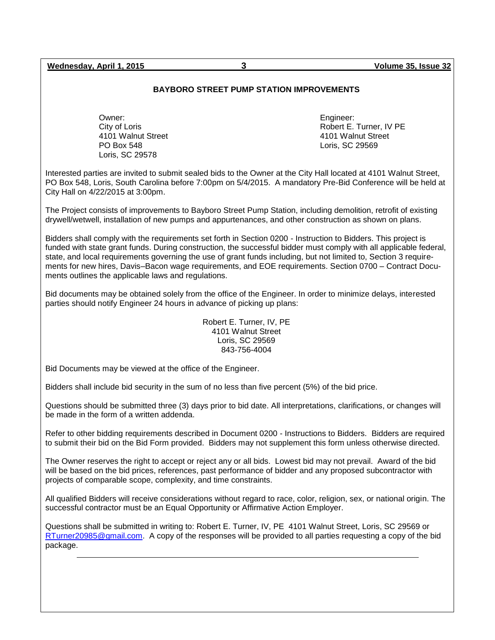**Wednesday, April 1, 2015 3 Volume 35, Issue 32**

### **BAYBORO STREET PUMP STATION IMPROVEMENTS**

Owner: City of Loris 4101 Walnut Street PO Box 548 Loris, SC 29578

Engineer: Robert E. Turner, IV PE 4101 Walnut Street Loris, SC 29569

Interested parties are invited to submit sealed bids to the Owner at the City Hall located at 4101 Walnut Street, PO Box 548, Loris, South Carolina before 7:00pm on 5/4/2015. A mandatory Pre-Bid Conference will be held at City Hall on 4/22/2015 at 3:00pm.

The Project consists of improvements to Bayboro Street Pump Station, including demolition, retrofit of existing drywell/wetwell, installation of new pumps and appurtenances, and other construction as shown on plans.

Bidders shall comply with the requirements set forth in Section 0200 - Instruction to Bidders. This project is funded with state grant funds. During construction, the successful bidder must comply with all applicable federal, state, and local requirements governing the use of grant funds including, but not limited to, Section 3 requirements for new hires, Davis–Bacon wage requirements, and EOE requirements. Section 0700 – Contract Documents outlines the applicable laws and regulations.

Bid documents may be obtained solely from the office of the Engineer. In order to minimize delays, interested parties should notify Engineer 24 hours in advance of picking up plans:

> Robert E. Turner, IV, PE 4101 Walnut Street Loris, SC 29569 843-756-4004

Bid Documents may be viewed at the office of the Engineer.

Bidders shall include bid security in the sum of no less than five percent (5%) of the bid price.

Questions should be submitted three (3) days prior to bid date. All interpretations, clarifications, or changes will be made in the form of a written addenda.

Refer to other bidding requirements described in Document 0200 - Instructions to Bidders. Bidders are required to submit their bid on the Bid Form provided. Bidders may not supplement this form unless otherwise directed.

The Owner reserves the right to accept or reject any or all bids. Lowest bid may not prevail. Award of the bid will be based on the bid prices, references, past performance of bidder and any proposed subcontractor with projects of comparable scope, complexity, and time constraints.

All qualified Bidders will receive considerations without regard to race, color, religion, sex, or national origin. The successful contractor must be an Equal Opportunity or Affirmative Action Employer.

Questions shall be submitted in writing to: Robert E. Turner, IV, PE 4101 Walnut Street, Loris, SC 29569 or [RTurner20985@gmail.com.](mailto:RTurner20985@gmail.com) A copy of the responses will be provided to all parties requesting a copy of the bid package.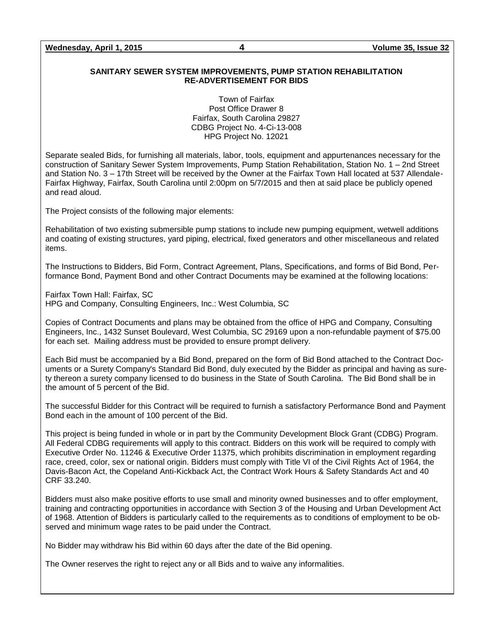### **SANITARY SEWER SYSTEM IMPROVEMENTS, PUMP STATION REHABILITATION RE-ADVERTISEMENT FOR BIDS**

Town of Fairfax Post Office Drawer 8 Fairfax, South Carolina 29827 CDBG Project No. 4-Ci-13-008 HPG Project No. 12021

Separate sealed Bids, for furnishing all materials, labor, tools, equipment and appurtenances necessary for the construction of Sanitary Sewer System Improvements, Pump Station Rehabilitation, Station No. 1 – 2nd Street and Station No. 3 – 17th Street will be received by the Owner at the Fairfax Town Hall located at 537 Allendale-Fairfax Highway, Fairfax, South Carolina until 2:00pm on 5/7/2015 and then at said place be publicly opened and read aloud.

The Project consists of the following major elements:

Rehabilitation of two existing submersible pump stations to include new pumping equipment, wetwell additions and coating of existing structures, yard piping, electrical, fixed generators and other miscellaneous and related items.

The Instructions to Bidders, Bid Form, Contract Agreement, Plans, Specifications, and forms of Bid Bond, Performance Bond, Payment Bond and other Contract Documents may be examined at the following locations:

Fairfax Town Hall: Fairfax, SC HPG and Company, Consulting Engineers, Inc.: West Columbia, SC

Copies of Contract Documents and plans may be obtained from the office of HPG and Company, Consulting Engineers, Inc., 1432 Sunset Boulevard, West Columbia, SC 29169 upon a non-refundable payment of \$75.00 for each set. Mailing address must be provided to ensure prompt delivery.

Each Bid must be accompanied by a Bid Bond, prepared on the form of Bid Bond attached to the Contract Documents or a Surety Company's Standard Bid Bond, duly executed by the Bidder as principal and having as surety thereon a surety company licensed to do business in the State of South Carolina. The Bid Bond shall be in the amount of 5 percent of the Bid.

The successful Bidder for this Contract will be required to furnish a satisfactory Performance Bond and Payment Bond each in the amount of 100 percent of the Bid.

This project is being funded in whole or in part by the Community Development Block Grant (CDBG) Program. All Federal CDBG requirements will apply to this contract. Bidders on this work will be required to comply with Executive Order No. 11246 & Executive Order 11375, which prohibits discrimination in employment regarding race, creed, color, sex or national origin. Bidders must comply with Title VI of the Civil Rights Act of 1964, the Davis-Bacon Act, the Copeland Anti-Kickback Act, the Contract Work Hours & Safety Standards Act and 40 CRF 33.240.

Bidders must also make positive efforts to use small and minority owned businesses and to offer employment, training and contracting opportunities in accordance with Section 3 of the Housing and Urban Development Act of 1968. Attention of Bidders is particularly called to the requirements as to conditions of employment to be observed and minimum wage rates to be paid under the Contract.

No Bidder may withdraw his Bid within 60 days after the date of the Bid opening.

The Owner reserves the right to reject any or all Bids and to waive any informalities.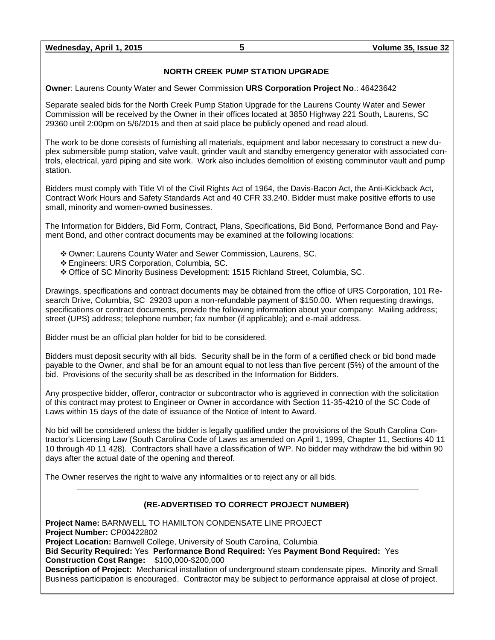**Wednesday, April 1, 2015 5 Volume 35, Issue 32**

## **NORTH CREEK PUMP STATION UPGRADE**

**Owner**: Laurens County Water and Sewer Commission **URS Corporation Project No**.: 46423642

Separate sealed bids for the North Creek Pump Station Upgrade for the Laurens County Water and Sewer Commission will be received by the Owner in their offices located at 3850 Highway 221 South, Laurens, SC 29360 until 2:00pm on 5/6/2015 and then at said place be publicly opened and read aloud.

The work to be done consists of furnishing all materials, equipment and labor necessary to construct a new duplex submersible pump station, valve vault, grinder vault and standby emergency generator with associated controls, electrical, yard piping and site work. Work also includes demolition of existing comminutor vault and pump station.

Bidders must comply with Title VI of the Civil Rights Act of 1964, the Davis-Bacon Act, the Anti-Kickback Act, Contract Work Hours and Safety Standards Act and 40 CFR 33.240. Bidder must make positive efforts to use small, minority and women-owned businesses.

The Information for Bidders, Bid Form, Contract, Plans, Specifications, Bid Bond, Performance Bond and Payment Bond, and other contract documents may be examined at the following locations:

- Owner: Laurens County Water and Sewer Commission, Laurens, SC.
- Engineers: URS Corporation, Columbia, SC.
- Office of SC Minority Business Development: 1515 Richland Street, Columbia, SC.

Drawings, specifications and contract documents may be obtained from the office of URS Corporation, 101 Research Drive, Columbia, SC 29203 upon a non-refundable payment of \$150.00. When requesting drawings, specifications or contract documents, provide the following information about your company: Mailing address; street (UPS) address; telephone number; fax number (if applicable); and e-mail address.

Bidder must be an official plan holder for bid to be considered.

Bidders must deposit security with all bids. Security shall be in the form of a certified check or bid bond made payable to the Owner, and shall be for an amount equal to not less than five percent (5%) of the amount of the bid. Provisions of the security shall be as described in the Information for Bidders.

Any prospective bidder, offeror, contractor or subcontractor who is aggrieved in connection with the solicitation of this contract may protest to Engineer or Owner in accordance with Section 11-35-4210 of the SC Code of Laws within 15 days of the date of issuance of the Notice of Intent to Award.

No bid will be considered unless the bidder is legally qualified under the provisions of the South Carolina Contractor's Licensing Law (South Carolina Code of Laws as amended on April 1, 1999, Chapter 11, Sections 40 11 10 through 40 11 428). Contractors shall have a classification of WP. No bidder may withdraw the bid within 90 days after the actual date of the opening and thereof.

The Owner reserves the right to waive any informalities or to reject any or all bids.

### **(RE-ADVERTISED TO CORRECT PROJECT NUMBER)**

**Project Name:** BARNWELL TO HAMILTON CONDENSATE LINE PROJECT **Project Number:** CP00422802 **Project Location:** Barnwell College, University of South Carolina, Columbia **Bid Security Required:** Yes **Performance Bond Required:** Yes **Payment Bond Required:** Yes **Construction Cost Range:** \$100,000-\$200,000 **Description of Project:** Mechanical installation of underground steam condensate pipes. Minority and Small Business participation is encouraged. Contractor may be subject to performance appraisal at close of project.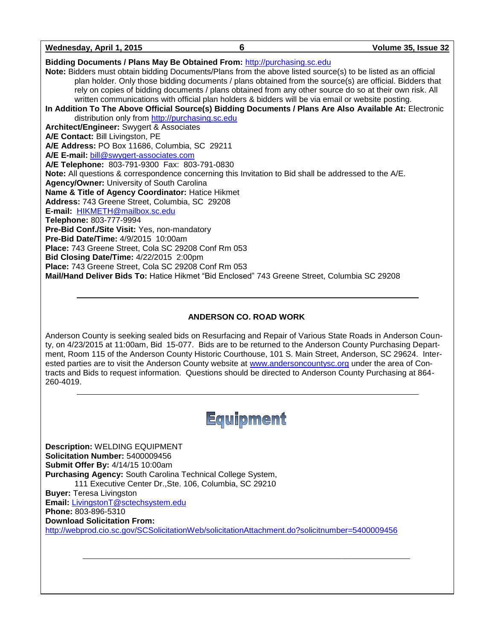### **ANDERSON CO. ROAD WORK**

Anderson County is seeking sealed bids on Resurfacing and Repair of Various State Roads in Anderson County, on 4/23/2015 at 11:00am, Bid 15-077. Bids are to be returned to the Anderson County Purchasing Department, Room 115 of the Anderson County Historic Courthouse, 101 S. Main Street, Anderson, SC 29624. Interested parties are to visit the Anderson County website at [www.andersoncountysc.org](http://www.andersoncountysc.org/) under the area of Contracts and Bids to request information. Questions should be directed to Anderson County Purchasing at 864- 260-4019.



 $\_$  ,  $\_$  ,  $\_$  ,  $\_$  ,  $\_$  ,  $\_$  ,  $\_$  ,  $\_$  ,  $\_$  ,  $\_$  ,  $\_$  ,  $\_$  ,  $\_$  ,  $\_$  ,  $\_$  ,  $\_$  ,  $\_$  ,  $\_$  ,  $\_$  ,  $\_$  ,  $\_$  ,  $\_$  ,  $\_$  ,  $\_$  ,  $\_$  ,  $\_$  ,  $\_$  ,  $\_$  ,  $\_$  ,  $\_$  ,  $\_$  ,  $\_$  ,  $\_$  ,  $\_$  ,  $\_$  ,  $\_$  ,  $\_$  ,

**Description:** WELDING EQUIPMENT **Solicitation Number:** 5400009456 **Submit Offer By:** 4/14/15 10:00am **Purchasing Agency:** South Carolina Technical College System, 111 Executive Center Dr.,Ste. 106, Columbia, SC 29210 **Buyer:** Teresa Livingston **Email:** [LivingstonT@sctechsystem.edu](mailto:LivingstonT@sctechsystem.edu) **Phone:** 803-896-5310 **Download Solicitation From:** <http://webprod.cio.sc.gov/SCSolicitationWeb/solicitationAttachment.do?solicitnumber=5400009456>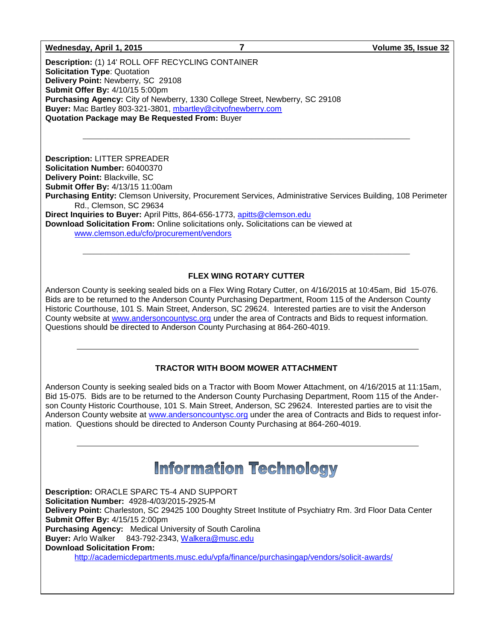#### **Wednesday, April 1, 2015 7 Volume 35, Issue 32**

**Description:** (1) 14' ROLL OFF RECYCLING CONTAINER **Solicitation Type**: Quotation **Delivery Point:** Newberry, SC 29108 **Submit Offer By:** 4/10/15 5:00pm **Purchasing Agency:** City of Newberry, 1330 College Street, Newberry, SC 29108 **Buyer:** Mac Bartley 803-321-3801, [mbartley@cityofnewberry.com](mailto:mbartley@cityofnewberry.com) **Quotation Package may Be Requested From:** Buyer

**Description:** LITTER SPREADER **Solicitation Number:** 60400370 **Delivery Point:** Blackville, SC **Submit Offer By:** 4/13/15 11:00am **Purchasing Entity:** Clemson University, Procurement Services, Administrative Services Building, 108 Perimeter Rd., Clemson, SC 29634 **Direct Inquiries to Buyer:** April Pitts, 864-656-1773, [apitts@clemson.edu](mailto:apitts@clemson.edu) **Download Solicitation From:** Online solicitations only**.** Solicitations can be viewed at [www.clemson.edu/cfo/procurement/vendors](http://www.clemson.edu/cfo/procurement/vendors)

 $\_$  ,  $\_$  ,  $\_$  ,  $\_$  ,  $\_$  ,  $\_$  ,  $\_$  ,  $\_$  ,  $\_$  ,  $\_$  ,  $\_$  ,  $\_$  ,  $\_$  ,  $\_$  ,  $\_$  ,  $\_$  ,  $\_$  ,  $\_$  ,  $\_$  ,  $\_$  ,  $\_$  ,  $\_$  ,  $\_$  ,  $\_$  ,  $\_$  ,  $\_$  ,  $\_$  ,  $\_$  ,  $\_$  ,  $\_$  ,  $\_$  ,  $\_$  ,  $\_$  ,  $\_$  ,  $\_$  ,  $\_$  ,  $\_$  ,

### **FLEX WING ROTARY CUTTER**

 $\_$  ,  $\_$  ,  $\_$  ,  $\_$  ,  $\_$  ,  $\_$  ,  $\_$  ,  $\_$  ,  $\_$  ,  $\_$  ,  $\_$  ,  $\_$  ,  $\_$  ,  $\_$  ,  $\_$  ,  $\_$  ,  $\_$  ,  $\_$  ,  $\_$  ,  $\_$  ,  $\_$  ,  $\_$  ,  $\_$  ,  $\_$  ,  $\_$  ,  $\_$  ,  $\_$  ,  $\_$  ,  $\_$  ,  $\_$  ,  $\_$  ,  $\_$  ,  $\_$  ,  $\_$  ,  $\_$  ,  $\_$  ,  $\_$  ,

Anderson County is seeking sealed bids on a Flex Wing Rotary Cutter, on 4/16/2015 at 10:45am, Bid 15-076. Bids are to be returned to the Anderson County Purchasing Department, Room 115 of the Anderson County Historic Courthouse, 101 S. Main Street, Anderson, SC 29624. Interested parties are to visit the Anderson County website at [www.andersoncountysc.org](http://www.andersoncountysc.org/) under the area of Contracts and Bids to request information. Questions should be directed to Anderson County Purchasing at 864-260-4019.

### **TRACTOR WITH BOOM MOWER ATTACHMENT**

Anderson County is seeking sealed bids on a Tractor with Boom Mower Attachment, on 4/16/2015 at 11:15am, Bid 15-075. Bids are to be returned to the Anderson County Purchasing Department, Room 115 of the Anderson County Historic Courthouse, 101 S. Main Street, Anderson, SC 29624. Interested parties are to visit the Anderson County website at [www.andersoncountysc.org](http://www.andersoncountysc.org/) under the area of Contracts and Bids to request information. Questions should be directed to Anderson County Purchasing at 864-260-4019.

# **Information Technology**

**Description:** ORACLE SPARC T5-4 AND SUPPORT **Solicitation Number:** 4928-4/03/2015-2925-M **Delivery Point:** Charleston, SC 29425 100 Doughty Street Institute of Psychiatry Rm. 3rd Floor Data Center **Submit Offer By:** 4/15/15 2:00pm **Purchasing Agency:** Medical University of South Carolina **Buyer:** Arlo Walker 843-792-2343, [Walkera@musc.edu](mailto:Walkera@musc.edu) **Download Solicitation From:** <http://academicdepartments.musc.edu/vpfa/finance/purchasingap/vendors/solicit-awards/>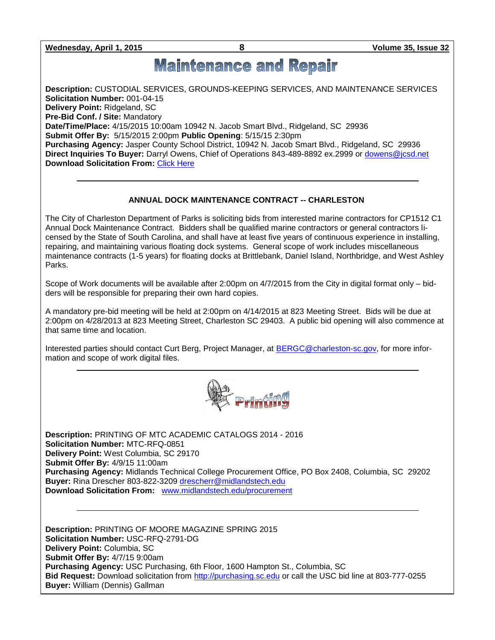**Wednesday, April 1, 2015 8 Volume 35, Issue 32**

# **Maintenance and Repair**

**Description:** CUSTODIAL SERVICES, GROUNDS-KEEPING SERVICES, AND MAINTENANCE SERVICES **Solicitation Number:** 001-04-15 **Delivery Point:** Ridgeland, SC **Pre-Bid Conf. / Site:** Mandatory **Date/Time/Place:** 4/15/2015 10:00am 10942 N. Jacob Smart Blvd., Ridgeland, SC 29936 **Submit Offer By:** 5/15/2015 2:00pm **Public Opening**: 5/15/15 2:30pm **Purchasing Agency:** Jasper County School District, 10942 N. Jacob Smart Blvd., Ridgeland, SC 29936 **Direct Inquiries To Buyer:** Darryl Owens, Chief of Operations 843-489-8892 ex.2999 or [dowens@jcsd.net](mailto:dowens@jcsd.net) **Download Solicitation From:** [Click Here](http://www.jcsd.net/?DivisionID=6673&DepartmentID=7441&ToggleSideNav=DivisionOnly)

### **ANNUAL DOCK MAINTENANCE CONTRACT -- CHARLESTON**

The City of Charleston Department of Parks is soliciting bids from interested marine contractors for CP1512 C1 Annual Dock Maintenance Contract. Bidders shall be qualified marine contractors or general contractors licensed by the State of South Carolina, and shall have at least five years of continuous experience in installing, repairing, and maintaining various floating dock systems. General scope of work includes miscellaneous maintenance contracts (1-5 years) for floating docks at Brittlebank, Daniel Island, Northbridge, and West Ashley Parks.

Scope of Work documents will be available after 2:00pm on 4/7/2015 from the City in digital format only – bidders will be responsible for preparing their own hard copies.

A mandatory pre-bid meeting will be held at 2:00pm on 4/14/2015 at 823 Meeting Street. Bids will be due at 2:00pm on 4/28/2013 at 823 Meeting Street, Charleston SC 29403. A public bid opening will also commence at that same time and location.

Interested parties should contact Curt Berg, Project Manager, at [BERGC@charleston-sc.gov,](mailto:BERGC@charleston-sc.gov) for more information and scope of work digital files.



**Description:** PRINTING OF MTC ACADEMIC CATALOGS 2014 - 2016 **Solicitation Number:** MTC-RFQ-0851 **Delivery Point:** West Columbia, SC 29170 **Submit Offer By:** 4/9/15 11:00am **Purchasing Agency:** Midlands Technical College Procurement Office, PO Box 2408, Columbia, SC 29202 **Buyer:** Rina Drescher 803-822-3209 [drescherr@midlandstech.edu](mailto:drescherr@midlandstech.edu) **Download Solicitation From:** [www.midlandstech.edu/procurement](http://www.midlandstech.edu/procurement)

**Description:** PRINTING OF MOORE MAGAZINE SPRING 2015 **Solicitation Number:** USC-RFQ-2791-DG **Delivery Point:** Columbia, SC **Submit Offer By:** 4/7/15 9:00am **Purchasing Agency:** USC Purchasing, 6th Floor, 1600 Hampton St., Columbia, SC **Bid Request:** Download solicitation from [http://purchasing.sc.edu](http://purchasing.sc.edu/) or call the USC bid line at 803-777-0255 **Buyer:** William (Dennis) Gallman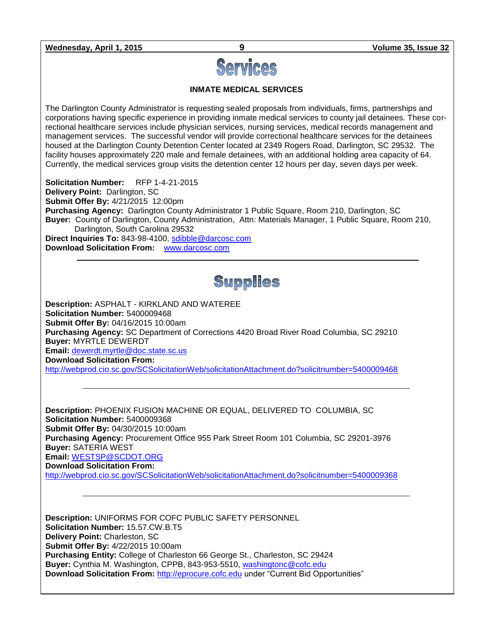**Wednesday, April 1, 2015 9 Volume 35, Issue 32**



**INMATE MEDICAL SERVICES**

The Darlington County Administrator is requesting sealed proposals from individuals, firms, partnerships and corporations having specific experience in providing inmate medical services to county jail detainees. These correctional healthcare services include physician services, nursing services, medical records management and management services. The successful vendor will provide correctional healthcare services for the detainees housed at the Darlington County Detention Center located at 2349 Rogers Road, Darlington, SC 29532. The facility houses approximately 220 male and female detainees, with an additional holding area capacity of 64. Currently, the medical services group visits the detention center 12 hours per day, seven days per week.

**Solicitation Number:** RFP 1-4-21-2015 **Delivery Point:** Darlington, SC **Submit Offer By:** 4/21/2015 12:00pm **Purchasing Agency:** Darlington County Administrator 1 Public Square, Room 210, Darlington, SC **Buyer:** County of Darlington, County Administration, Attn: Materials Manager, 1 Public Square, Room 210, Darlington, South Carolina 29532 **Direct Inquiries To:** 843-98-4100, [sdibble@darcosc.com](mailto:sdibble@darcosc.com)

**Download Solicitation From:** [www.darcosc.com](http://www.darcosc.com/)

# Supplies

 $\_$  , and the set of the set of the set of the set of the set of the set of the set of the set of the set of the set of the set of the set of the set of the set of the set of the set of the set of the set of the set of th

 $\_$  , and the set of the set of the set of the set of the set of the set of the set of the set of the set of the set of the set of the set of the set of the set of the set of the set of the set of the set of the set of th

**Description:** ASPHALT - KIRKLAND AND WATEREE **Solicitation Number:** 5400009468 **Submit Offer By:** 04/16/2015 10:00am **Purchasing Agency:** SC Department of Corrections 4420 Broad River Road Columbia, SC 29210 **Buyer:** MYRTLE DEWERDT **Email:** [dewerdt.myrtle@doc.state.sc.us](mailto:dewerdt.myrtle@doc.state.sc.us) **Download Solicitation From:** 

<http://webprod.cio.sc.gov/SCSolicitationWeb/solicitationAttachment.do?solicitnumber=5400009468>

**Description:** PHOENIX FUSION MACHINE OR EQUAL, DELIVERED TO COLUMBIA, SC **Solicitation Number:** 5400009368 **Submit Offer By:** 04/30/2015 10:00am **Purchasing Agency:** Procurement Office 955 Park Street Room 101 Columbia, SC 29201-3976 **Buyer:** SATERIA WEST **Email:** [WESTSP@SCDOT.ORG](mailto:WESTSP@SCDOT.ORG) **Download Solicitation From:**  <http://webprod.cio.sc.gov/SCSolicitationWeb/solicitationAttachment.do?solicitnumber=5400009368>

**Description:** UNIFORMS FOR COFC PUBLIC SAFETY PERSONNEL **Solicitation Number:** 15.57.CW.B.T5 **Delivery Point:** Charleston, SC **Submit Offer By:** 4/22/2015 10:00am **Purchasing Entity:** College of Charleston 66 George St., Charleston, SC 29424 **Buyer:** Cynthia M. Washington, CPPB, 843-953-5510, [washingtonc@cofc.edu](mailto:washingtonc@cofc.edu) **Download Solicitation From:** [http://eprocure.cofc.edu](http://eprocure.cofc.edu/) under "Current Bid Opportunities"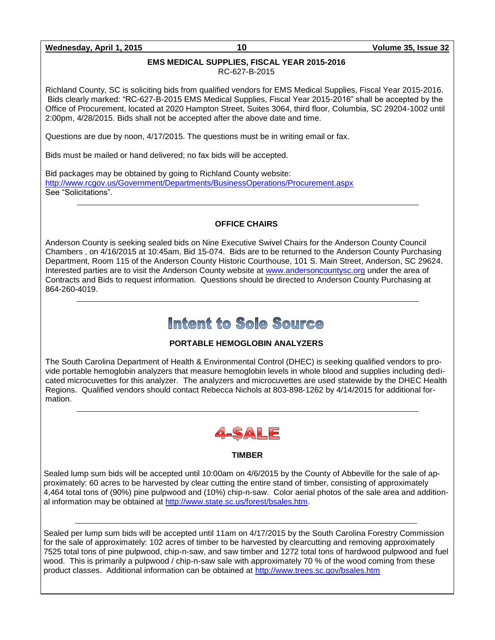### **Wednesday, April 1, 2015 10 Volume 35, Issue 32**

### **EMS MEDICAL SUPPLIES, FISCAL YEAR 2015-2016**

RC-627-B-2015

Richland County, SC is soliciting bids from qualified vendors for EMS Medical Supplies, Fiscal Year 2015-2016. Bids clearly marked: "RC-627-B-2015 EMS Medical Supplies, Fiscal Year 2015-2016" shall be accepted by the Office of Procurement, located at 2020 Hampton Street, Suites 3064, third floor, Columbia, SC 29204-1002 until 2:00pm, 4/28/2015. Bids shall not be accepted after the above date and time.

Questions are due by noon, 4/17/2015. The questions must be in writing email or fax.

Bids must be mailed or hand delivered; no fax bids will be accepted.

Bid packages may be obtained by going to Richland County website: <http://www.rcgov.us/Government/Departments/BusinessOperations/Procurement.aspx> See "Solicitations".

### **OFFICE CHAIRS**

Anderson County is seeking sealed bids on Nine Executive Swivel Chairs for the Anderson County Council Chambers , on 4/16/2015 at 10:45am, Bid 15-074. Bids are to be returned to the Anderson County Purchasing Department, Room 115 of the Anderson County Historic Courthouse, 101 S. Main Street, Anderson, SC 29624. Interested parties are to visit the Anderson County website at [www.andersoncountysc.org](http://www.andersoncountysc.org/) under the area of Contracts and Bids to request information. Questions should be directed to Anderson County Purchasing at 864-260-4019.

# Intent to Sole Source

### **PORTABLE HEMOGLOBIN ANALYZERS**

The South Carolina Department of Health & Environmental Control (DHEC) is seeking qualified vendors to provide portable hemoglobin analyzers that measure hemoglobin levels in whole blood and supplies including dedicated microcuvettes for this analyzer. The analyzers and microcuvettes are used statewide by the DHEC Health Regions. Qualified vendors should contact Rebecca Nichols at 803-898-1262 by 4/14/2015 for additional formation.



### **TIMBER**

Sealed lump sum bids will be accepted until 10:00am on 4/6/2015 by the County of Abbeville for the sale of approximately: 60 acres to be harvested by clear cutting the entire stand of timber, consisting of approximately 4,464 total tons of (90%) pine pulpwood and (10%) chip-n-saw. Color aerial photos of the sale area and additional information may be obtained at [http://www.state.sc.us/forest/bsales.htm.](http://www.state.sc.us/forest/bsales.htm)

Sealed per lump sum bids will be accepted until 11am on 4/17/2015 by the South Carolina Forestry Commission for the sale of approximately: 102 acres of timber to be harvested by clearcutting and removing approximately 7525 total tons of pine pulpwood, chip-n-saw, and saw timber and 1272 total tons of hardwood pulpwood and fuel wood. This is primarily a pulpwood / chip-n-saw sale with approximately 70 % of the wood coming from these product classes. Additional information can be obtained at<http://www.trees.sc.gov/bsales.htm>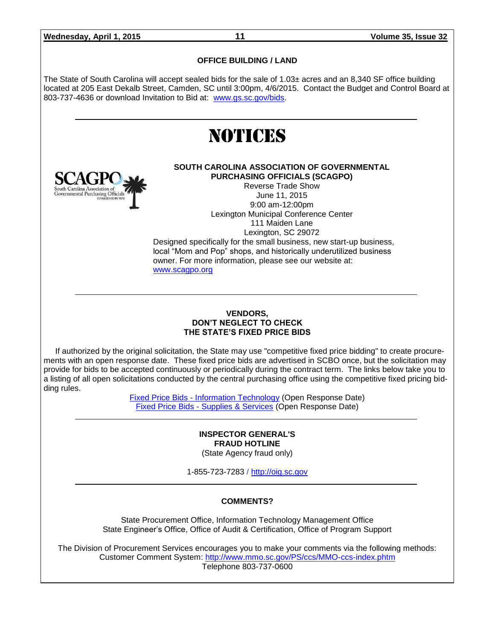### **OFFICE BUILDING / LAND**

The State of South Carolina will accept sealed bids for the sale of 1.03± acres and an 8,340 SF office building located at 205 East Dekalb Street, Camden, SC until 3:00pm, 4/6/2015. Contact the Budget and Control Board at 803-737-4636 or download Invitation to Bid at: [www.gs.sc.gov/bids.](http://www.gs.sc.gov/bids)





#### **SOUTH CAROLINA ASSOCIATION OF GOVERNMENTAL PURCHASING OFFICIALS (SCAGPO)**

Reverse Trade Show June 11, 2015 9:00 am-12:00pm Lexington Municipal Conference Center 111 Maiden Lane Lexington, SC 29072

Designed specifically for the small business, new start-up business, local "Mom and Pop" shops, and historically underutilized business owner. For more information, please see our website at: [www.scagpo.org](http://www.scagpo.org/)

### **VENDORS, DON'T NEGLECT TO CHECK THE STATE'S FIXED PRICE BIDS**

If authorized by the original solicitation, the State may use "competitive fixed price bidding" to create procurements with an open response date. These fixed price bids are advertised in SCBO once, but the solicitation may provide for bids to be accepted continuously or periodically during the contract term. The links below take you to a listing of all open solicitations conducted by the central purchasing office using the competitive fixed pricing bidding rules.

> Fixed Price Bids - [Information Technology](http://www.mmo.sc.gov/PS/vendor/PS-vendor-fixed-price-bids-it.phtm) (Open Response Date) Fixed Price Bids - [Supplies & Services](http://www.mmo.sc.gov/PS/vendor/PS-vendor-fixed-price-bids-ss.phtm) (Open Response Date)

#### **INSPECTOR GENERAL'S FRAUD HOTLINE** (State Agency fraud only)

1-855-723-7283 / [http://oig.sc.gov](http://oig.sc.gov/)

### **COMMENTS?**

State Procurement Office, Information Technology Management Office State Engineer's Office, Office of Audit & Certification, Office of Program Support

The Division of Procurement Services encourages you to make your comments via the following methods: Customer Comment System:<http://www.mmo.sc.gov/PS/ccs/MMO-ccs-index.phtm> Telephone 803-737-0600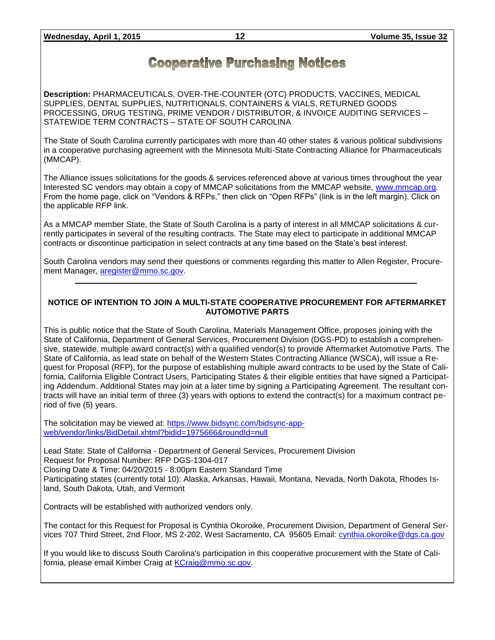## **Cooperative Purchasing Notices**

**Description:** PHARMACEUTICALS, OVER-THE-COUNTER (OTC) PRODUCTS, VACCINES, MEDICAL SUPPLIES, DENTAL SUPPLIES, NUTRITIONALS, CONTAINERS & VIALS, RETURNED GOODS PROCESSING, DRUG TESTING, PRIME VENDOR / DISTRIBUTOR, & INVOICE AUDITING SERVICES – STATEWIDE TERM CONTRACTS – STATE OF SOUTH CAROLINA

The State of South Carolina currently participates with more than 40 other states & various political subdivisions in a cooperative purchasing agreement with the Minnesota Multi-State Contracting Alliance for Pharmaceuticals (MMCAP).

The Alliance issues solicitations for the goods & services referenced above at various times throughout the year Interested SC vendors may obtain a copy of MMCAP solicitations from the MMCAP website, [www.mmcap.org.](http://www.mmcap.org/) From the home page, click on "Vendors & RFPs," then click on "Open RFPs" (link is in the left margin). Click on the applicable RFP link.

As a MMCAP member State, the State of South Carolina is a party of interest in all MMCAP solicitations & currently participates in several of the resulting contracts. The State may elect to participate in additional MMCAP contracts or discontinue participation in select contracts at any time based on the State's best interest.

South Carolina vendors may send their questions or comments regarding this matter to Allen Register, Procurement Manager, [aregister@mmo.sc.gov.](mailto:aregister@mmo.sc.gov)

### **NOTICE OF INTENTION TO JOIN A MULTI-STATE COOPERATIVE PROCUREMENT FOR AFTERMARKET AUTOMOTIVE PARTS**

This is public notice that the State of South Carolina, Materials Management Office, proposes joining with the State of California, Department of General Services, Procurement Division (DGS-PD) to establish a comprehensive, statewide, multiple award contract(s) with a qualified vendor(s) to provide Aftermarket Automotive Parts. The State of California, as lead state on behalf of the Western States Contracting Alliance (WSCA), will issue a Request for Proposal (RFP), for the purpose of establishing multiple award contracts to be used by the State of California, California Eligible Contract Users, Participating States & their eligible entities that have signed a Participating Addendum. Additional States may join at a later time by signing a Participating Agreement. The resultant contracts will have an initial term of three (3) years with options to extend the contract(s) for a maximum contract period of five (5) years.

The solicitation may be viewed at: [https://www.bidsync.com/bidsync-app](https://www.bidsync.com/bidsync-app-web/vendor/links/BidDetail.xhtml?bidid=1975666&roundId=null)[web/vendor/links/BidDetail.xhtml?bidid=1975666&roundId=null](https://www.bidsync.com/bidsync-app-web/vendor/links/BidDetail.xhtml?bidid=1975666&roundId=null) 

Lead State: State of California - Department of General Services, Procurement Division Request for Proposal Number: RFP DGS-1304-017 Closing Date & Time: 04/20/2015 - 8:00pm Eastern Standard Time Participating states (currently total 10): Alaska, Arkansas, Hawaii, Montana, Nevada, North Dakota, Rhodes Island, South Dakota, Utah, and Vermont

Contracts will be established with authorized vendors only.

The contact for this Request for Proposal is Cynthia Okoroike, Procurement Division, Department of General Services 707 Third Street, 2nd Floor, MS 2-202, West Sacramento, CA 95605 Email: [cynthia.okoroike@dgs.ca.gov](mailto:cynthia.okoroike@dgs.ca.gov)

If you would like to discuss South Carolina's participation in this cooperative procurement with the State of California, please email Kimber Craig at [KCraig@mmo.sc.gov.](mailto:KCraig@mmo.sc.gov)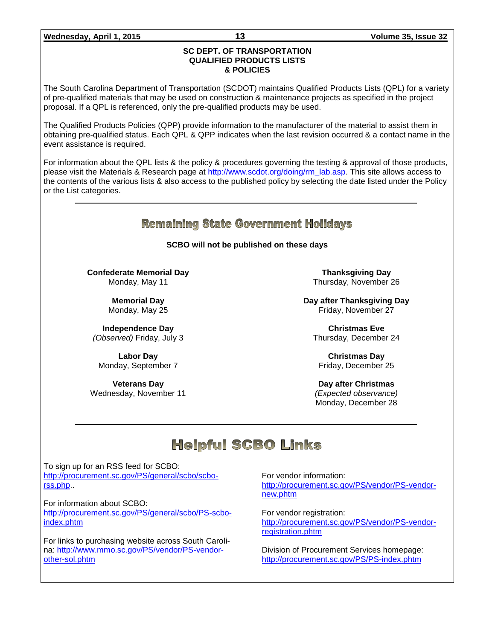### **Wednesday, April 1, 2015 13 Volume 35, Issue 32**

### **SC DEPT. OF TRANSPORTATION QUALIFIED PRODUCTS LISTS & POLICIES**

The South Carolina Department of Transportation (SCDOT) maintains Qualified Products Lists (QPL) for a variety of pre-qualified materials that may be used on construction & maintenance projects as specified in the project proposal. If a QPL is referenced, only the pre-qualified products may be used.

The Qualified Products Policies (QPP) provide information to the manufacturer of the material to assist them in obtaining pre-qualified status. Each QPL & QPP indicates when the last revision occurred & a contact name in the event assistance is required.

For information about the QPL lists & the policy & procedures governing the testing & approval of those products, please visit the Materials & Research page at [http://www.scdot.org/doing/rm\\_lab.asp.](http://www.scdot.org/doing/rm_lab.asp) This site allows access to the contents of the various lists & also access to the published policy by selecting the date listed under the Policy or the List categories.

### **Remaining State Government Holidays**

**SCBO will not be published on these days**

**Confederate Memorial Day** Monday, May 11

> **Memorial Day** Monday, May 25

**Independence Day** *(Observed)* Friday, July 3

**Labor Day** Monday, September 7

**Veterans Day** Wednesday, November 11

**Thanksgiving Day** Thursday, November 26

**Day after Thanksgiving Day** Friday, November 27

**Christmas Eve** Thursday, December 24

**Christmas Day** Friday, December 25

**Day after Christmas** *(Expected observance)* Monday, December 28

# **Helpful SCBO Links**

To sign up for an RSS feed for SCBO: [http://procurement.sc.gov/PS/general/scbo/scbo](http://procurement.sc.gov/PS/general/scbo/scbo-rss.php)[rss.php.](http://procurement.sc.gov/PS/general/scbo/scbo-rss.php).

For information about SCBO:

[http://procurement.sc.gov/PS/general/scbo/PS-scbo](http://procurement.sc.gov/PS/general/scbo/PS-scbo-index.phtm)[index.phtm](http://procurement.sc.gov/PS/general/scbo/PS-scbo-index.phtm)

For links to purchasing website across South Carolina: [http://www.mmo.sc.gov/PS/vendor/PS-vendor](http://www.mmo.sc.gov/PS/vendor/PS-vendor-other-sol.phtm)[other-sol.phtm](http://www.mmo.sc.gov/PS/vendor/PS-vendor-other-sol.phtm)

For vendor information: [http://procurement.sc.gov/PS/vendor/PS-vendor](http://procurement.sc.gov/PS/vendor/PS-vendor-new.phtm)[new.phtm](http://procurement.sc.gov/PS/vendor/PS-vendor-new.phtm)

For vendor registration: [http://procurement.sc.gov/PS/vendor/PS-vendor](http://procurement.sc.gov/PS/vendor/PS-vendor-registration.phtm)[registration.phtm](http://procurement.sc.gov/PS/vendor/PS-vendor-registration.phtm)

Division of Procurement Services homepage: <http://procurement.sc.gov/PS/PS-index.phtm>